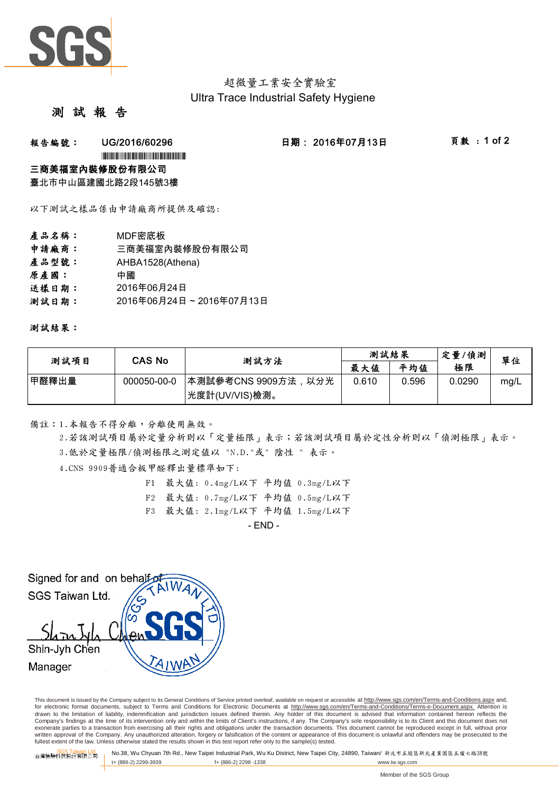

# 超微量工業安全實驗室 Ultra Trace Industrial Safety Hygiene

## 測 試 報

### 報告編號: UG/2016/60296 日期: 2016年07月13日 頁數:1 of 2

\*UG/2016/60296\*EG/2016/60296\*EG/2016/60296\*EG/2016

### 三商美福室內裝修股份有限公司

臺北市中山區建國北路2段145號3樓

以下測試之樣品係由申請廠商所提供及確認:

- 產品名稱: MDF密底板 申請廠商: 三商美福室內裝修股份有限公司
- 
- 產品型號: AHBA1528(Athena)
- 原產國: 中國
- 送樣日期: 2016年06月24日
- 測試日期: 2016年06月24日~2016年07月13日

測試結果:

| 測試項目  | CAS No      | 测試方法                | 測試結果  |       | 定量/偵測  | 單位   |
|-------|-------------|---------------------|-------|-------|--------|------|
|       |             |                     | 最大值   | 平均值   | 極限     |      |
| 甲醛釋出量 | 000050-00-0 | 本測試參考CNS 9909方法,以分光 | 0.610 | 0.596 | 0.0290 | mg/L |
|       |             | 光度計(UV/VIS)檢測。      |       |       |        |      |

備註:1.本報告不得分離,分離使用無效。

3.低於定量極限/偵測極限之測定值以 "N.D."或" 陰性 " 表示。 2.若該測試項目屬於定量分析則以「定量極限」表示;若該測試項目屬於定性分析則以「偵測極限」表示。

4.CNS 9909普通合板甲醛釋出量標準如下:

- F1 最大值: 0.4mg/L以下 平均值 0.3mg/L以下
- F2 最大值: 0.7mg/L以下 平均值 0.5mg/L以下
- F3 最大值: 2.1mg/L以下 平均值 1.5mg/L以下

 $-$  END  $-$ 

Signed for and on behalf SGS Taiwan Ltd. Shin-Jyh Chen Manager

This document is issued by the Company subject to its General Conditions of Service printed overleaf, available on request or accessible at http://www.sgs.com/en/Terms-and-Conditions.aspx and, for electronic format documents, subject to Terms and Conditions for Electronic Documents at http://www.sgs.com/en/Terms-and-Conditions/Terms-e-Document.aspx. Attention is drawn to the limitation of liability, indemnification and jurisdiction issues defined therein. Any holder of this document is advised that information contained hereon reflects the<br>Company's findings at the time of its int exonerate parties to a transaction from exercising all their rights and obligations under the transaction documents. This document cannot be reproduced except in full, without prior written approval of the Company. Any unauthorized alteration, forgery or falsification of the content or appearance of this document is unlawful and offenders may be prosecuted to the<br>fullest extent of the law. Unless othe

SGS Taiwan Ltd. 台灣檢驗科技股份有限公司 No.38, Wu Chyuan 7th Rd., New Taipei Industrial Park, Wu Ku District, New Taipei City, 24890, Taiwan/ 新北市五股區新北產業園區五權七路38號 t+ (886-2) 2299-3939 f+ (886-2) 2298 -1338